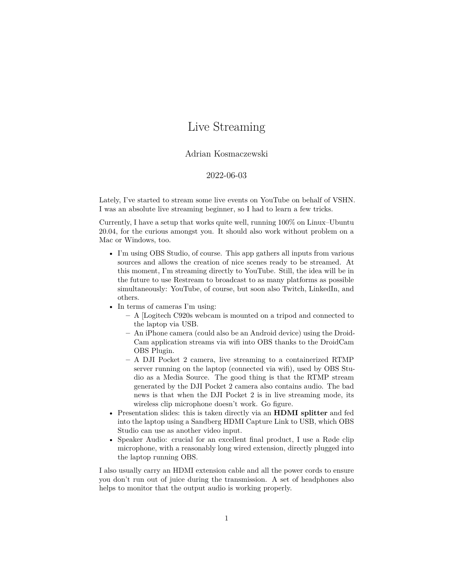## Live Streaming

## Adrian Kosmaczewski

## 2022-06-03

Lately, I've started to stream some live events on YouTube on behalf of VSHN. I was an absolute live streaming beginner, so I had to learn a few tricks.

Currently, I have a setup that works quite well, running 100% on Linux–Ubuntu 20.04, for the curious amongst you. It should also work without problem on a Mac or Windows, too.

- I'm using [OBS Studio](https://obsproject.com/), of course. This app gathers all inputs from various sources and allows the creation of nice scenes ready to be streamed. At this moment, I'm streaming directly to YouTube. Still, the idea will be in the future to use [Restream](https://restream.io/) to broadcast to as many platforms as possible simultaneously: YouTube, of course, but soon also Twitch, LinkedIn, and others.
- In terms of cameras I'm using:
	- **–** A [Logitech [C920s webcam](https://www.logitech.com/en-us/products/webcams/c920s-pro-hd-webcam.960-001257.html) is mounted on a tripod and connected to the laptop via USB.
	- **–** An iPhone camera (could also be an Android device) using the [Droid-](https://droidcam.en.softonic.com/)[Cam](https://droidcam.en.softonic.com/) application streams via wifi into OBS thanks to the [DroidCam](https://www.dev47apps.com/obs/) [OBS Plugin.](https://www.dev47apps.com/obs/)
	- **–** A [DJI Pocket 2](https://www.dji.com/ch/pocket-2) camera, live streaming to a [containerized RTMP](https://github.com/tiangolo/nginx-rtmp-docker) [server](https://github.com/tiangolo/nginx-rtmp-docker) running on the laptop (connected via wifi), used by OBS Studio as a Media Source. The good thing is that the RTMP stream generated by the DJI Pocket 2 camera also contains audio. The bad news is that when the DJI Pocket 2 is in live streaming mode, its wireless clip microphone doesn't work. Go figure.
- Presentation slides: this is taken directly via an **HDMI splitter** and fed into the laptop using a [Sandberg HDMI Capture Link to USB,](https://sandberg.world/en-us/product/hdmi-capture-link-to-usb) which OBS Studio can use as another video input.
- Speaker Audio: crucial for an excellent final product, I use a [Røde clip](https://rode.com/en/microphones) [microphone](https://rode.com/en/microphones), with a reasonably long wired extension, directly plugged into the laptop running OBS.

I also usually carry an HDMI extension cable and all the power cords to ensure you don't run out of juice during the transmission. A set of headphones also helps to monitor that the output audio is working properly.